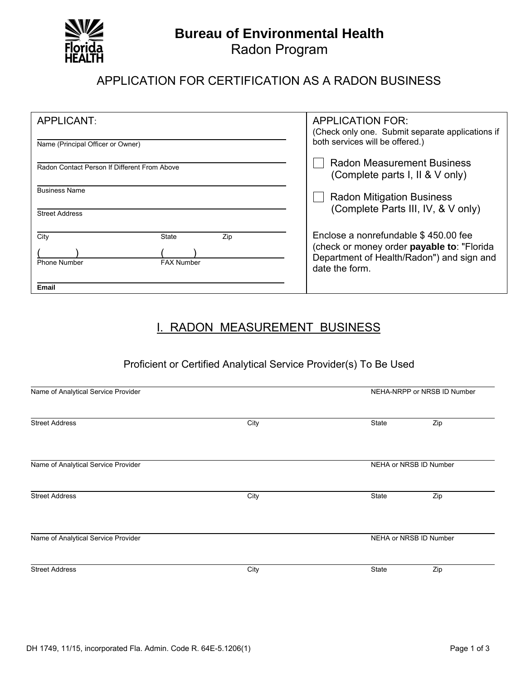

# **Bureau of Environmental Health**

Radon Program

# APPLICATION FOR CERTIFICATION AS A RADON BUSINESS

| <b>APPLICANT:</b>                             |                                          | <b>APPLICATION FOR:</b><br>(Check only one. Submit separate applications if                                                                       |
|-----------------------------------------------|------------------------------------------|---------------------------------------------------------------------------------------------------------------------------------------------------|
| Name (Principal Officer or Owner)             |                                          | both services will be offered.)                                                                                                                   |
| Radon Contact Person If Different From Above  |                                          | <b>Radon Measurement Business</b><br>(Complete parts I, II & V only)                                                                              |
| <b>Business Name</b><br><b>Street Address</b> |                                          | <b>Radon Mitigation Business</b><br>(Complete Parts III, IV, & V only)                                                                            |
| City<br><b>Phone Number</b>                   | <b>State</b><br>Zip<br><b>FAX Number</b> | Enclose a nonrefundable \$450.00 fee<br>(check or money order payable to: "Florida<br>Department of Health/Radon") and sign and<br>date the form. |
| <b>Email</b>                                  |                                          |                                                                                                                                                   |

# I. RADON MEASUREMENT BUSINESS

### Proficient or Certified Analytical Service Provider(s) To Be Used

| Name of Analytical Service Provider | NEHA-NRPP or NRSB ID Number |                        |     |
|-------------------------------------|-----------------------------|------------------------|-----|
| <b>Street Address</b>               | City                        | State                  | Zip |
| Name of Analytical Service Provider |                             |                        |     |
| <b>Street Address</b>               | City                        | State                  | Zip |
| Name of Analytical Service Provider |                             | NEHA or NRSB ID Number |     |
| <b>Street Address</b>               | City                        | State                  | Zip |
|                                     |                             |                        |     |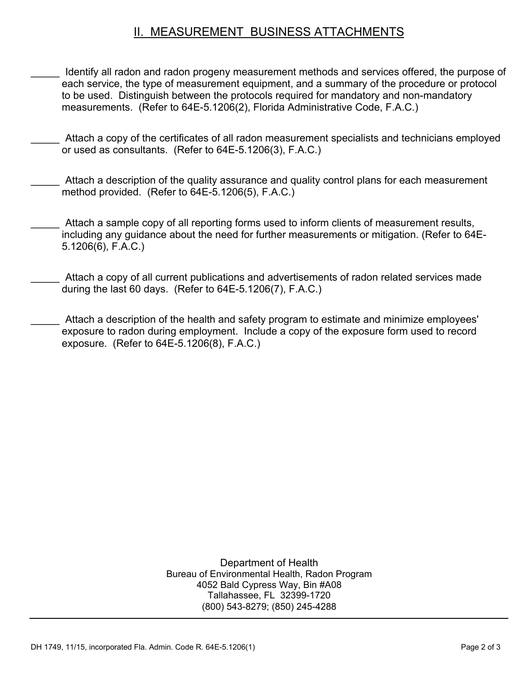### II. MEASUREMENT BUSINESS ATTACHMENTS

\_\_\_\_\_ Identify all radon and radon progeny measurement methods and services offered, the purpose of each service, the type of measurement equipment, and a summary of the procedure or protocol to be used. Distinguish between the protocols required for mandatory and non-mandatory measurements. (Refer to 64E-5.1206(2), Florida Administrative Code, F.A.C.)

\_\_\_\_\_ Attach a copy of the certificates of all radon measurement specialists and technicians employed or used as consultants. (Refer to 64E-5.1206(3), F.A.C.)

Attach a description of the quality assurance and quality control plans for each measurement method provided. (Refer to 64E-5.1206(5), F.A.C.)

Attach a sample copy of all reporting forms used to inform clients of measurement results, including any guidance about the need for further measurements or mitigation. (Refer to 64E-5.1206(6), F.A.C.)

Attach a copy of all current publications and advertisements of radon related services made during the last 60 days. (Refer to 64E-5.1206(7), F.A.C.)

Attach a description of the health and safety program to estimate and minimize employees' exposure to radon during employment. Include a copy of the exposure form used to record exposure. (Refer to 64E-5.1206(8), F.A.C.)

> Department of Health Bureau of Environmental Health, Radon Program 4052 Bald Cypress Way, Bin #A08 Tallahassee, FL 32399-1720 (800) 543-8279; (850) 245-4288